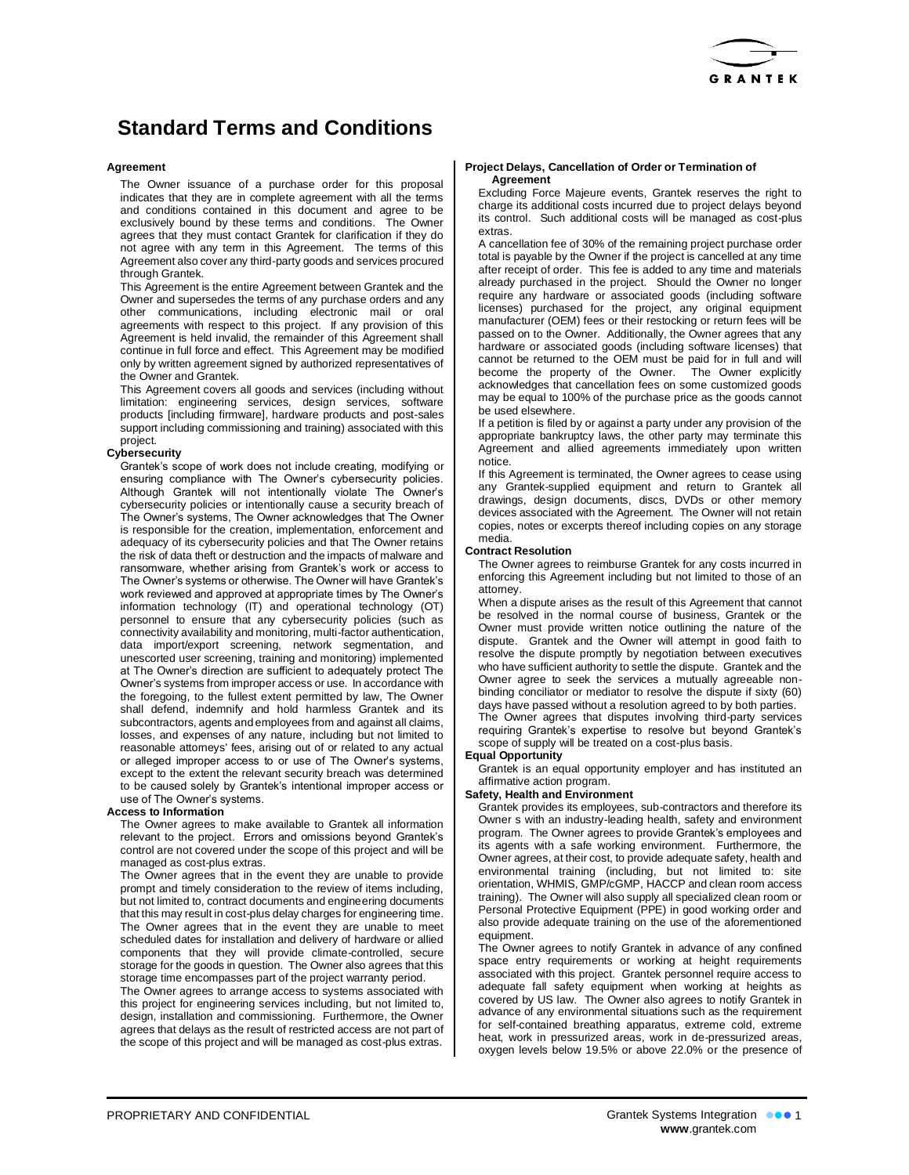

# **Standard Terms and Conditions**

### **Agreement**

The Owner issuance of a purchase order for this proposal indicates that they are in complete agreement with all the terms and conditions contained in this document and agree to be exclusively bound by these terms and conditions. The Owner agrees that they must contact Grantek for clarification if they do not agree with any term in this Agreement. The terms of this Agreement also cover any third-party goods and services procured through Grantek.

This Agreement is the entire Agreement between Grantek and the Owner and supersedes the terms of any purchase orders and any other communications, including electronic mail or oral agreements with respect to this project. If any provision of this Agreement is held invalid, the remainder of this Agreement shall continue in full force and effect. This Agreement may be modified only by written agreement signed by authorized representatives of the Owner and Grantek.

This Agreement covers all goods and services (including without limitation: engineering services, design services, software products [including firmware], hardware products and post-sales support including commissioning and training) associated with this project.

## **Cybersecurity**

Grantek's scope of work does not include creating, modifying or ensuring compliance with The Owner's cybersecurity policies. Although Grantek will not intentionally violate The Owner's cybersecurity policies or intentionally cause a security breach of The Owner's systems, The Owner acknowledges that The Owner is responsible for the creation, implementation, enforcement and adequacy of its cybersecurity policies and that The Owner retains the risk of data theft or destruction and the impacts of malware and ransomware, whether arising from Grantek's work or access to The Owner's systems or otherwise. The Owner will have Grantek's work reviewed and approved at appropriate times by The Owner's information technology (IT) and operational technology (OT) personnel to ensure that any cybersecurity policies (such as connectivity availability and monitoring, multi-factor authentication, data import/export screening, network segmentation, and unescorted user screening, training and monitoring) implemented at The Owner's direction are sufficient to adequately protect The Owner's systems from improper access or use. In accordance with the foregoing, to the fullest extent permitted by law, The Owner shall defend, indemnify and hold harmless Grantek and its subcontractors, agents and employees from and against all claims, losses, and expenses of any nature, including but not limited to reasonable attorneys' fees, arising out of or related to any actual or alleged improper access to or use of The Owner's systems, except to the extent the relevant security breach was determined to be caused solely by Grantek's intentional improper access or use of The Owner's systems.

#### **Access to Information**

The Owner agrees to make available to Grantek all information relevant to the project. Errors and omissions beyond Grantek's control are not covered under the scope of this project and will be managed as cost-plus extras.

The Owner agrees that in the event they are unable to provide prompt and timely consideration to the review of items including, but not limited to, contract documents and engineering documents that this may result in cost-plus delay charges for engineering time. The Owner agrees that in the event they are unable to meet scheduled dates for installation and delivery of hardware or allied components that they will provide climate-controlled, secure storage for the goods in question. The Owner also agrees that this storage time encompasses part of the project warranty period.

The Owner agrees to arrange access to systems associated with this project for engineering services including, but not limited to, design, installation and commissioning. Furthermore, the Owner agrees that delays as the result of restricted access are not part of the scope of this project and will be managed as cost-plus extras.

#### **Project Delays, Cancellation of Order or Termination of Agreement**

Excluding Force Majeure events, Grantek reserves the right to charge its additional costs incurred due to project delays beyond its control. Such additional costs will be managed as cost-plus extras.

A cancellation fee of 30% of the remaining project purchase order total is payable by the Owner if the project is cancelled at any time after receipt of order. This fee is added to any time and materials already purchased in the project. Should the Owner no longer require any hardware or associated goods (including software licenses) purchased for the project, any original equipment manufacturer (OEM) fees or their restocking or return fees will be passed on to the Owner. Additionally, the Owner agrees that any hardware or associated goods (including software licenses) that cannot be returned to the OEM must be paid for in full and will become the property of the Owner. The Owner explicitly acknowledges that cancellation fees on some customized goods may be equal to 100% of the purchase price as the goods cannot be used elsewhere.

If a petition is filed by or against a party under any provision of the appropriate bankruptcy laws, the other party may terminate this Agreement and allied agreements immediately upon written notice.

If this Agreement is terminated, the Owner agrees to cease using any Grantek-supplied equipment and return to Grantek all drawings, design documents, discs, DVDs or other memory devices associated with the Agreement. The Owner will not retain copies, notes or excerpts thereof including copies on any storage media.

## **Contract Resolution**

The Owner agrees to reimburse Grantek for any costs incurred in enforcing this Agreement including but not limited to those of an attomey.

When a dispute arises as the result of this Agreement that cannot be resolved in the normal course of business, Grantek or the Owner must provide written notice outlining the nature of the dispute. Grantek and the Owner will attempt in good faith to resolve the dispute promptly by negotiation between executives who have sufficient authority to settle the dispute. Grantek and the Owner agree to seek the services a mutually agreeable nonbinding conciliator or mediator to resolve the dispute if sixty (60) days have passed without a resolution agreed to by both parties. The Owner agrees that disputes involving third-party services requiring Grantek's expertise to resolve but beyond Grantek's scope of supply will be treated on a cost-plus basis.

#### **Equal Opportunity**

Grantek is an equal opportunity employer and has instituted an affirmative action program.

## **Safety, Health and Environment**

Grantek provides its employees, sub-contractors and therefore its Owner s with an industry-leading health, safety and environment program. The Owner agrees to provide Grantek's employees and its agents with a safe working environment. Furthermore, the Owner agrees, at their cost, to provide adequate safety, health and environmental training (including, but not limited to: site orientation, WHMIS, GMP/cGMP, HACCP and clean room access training). The Owner will also supply all specialized clean room or Personal Protective Equipment (PPE) in good working order and also provide adequate training on the use of the aforementioned equipment.

The Owner agrees to notify Grantek in advance of any confined space entry requirements or working at height requirements associated with this project. Grantek personnel require access to adequate fall safety equipment when working at heights as covered by US law. The Owner also agrees to notify Grantek in advance of any environmental situations such as the requirement for self-contained breathing apparatus, extreme cold, extreme heat, work in pressurized areas, work in de-pressurized areas, oxygen levels below 19.5% or above 22.0% or the presence of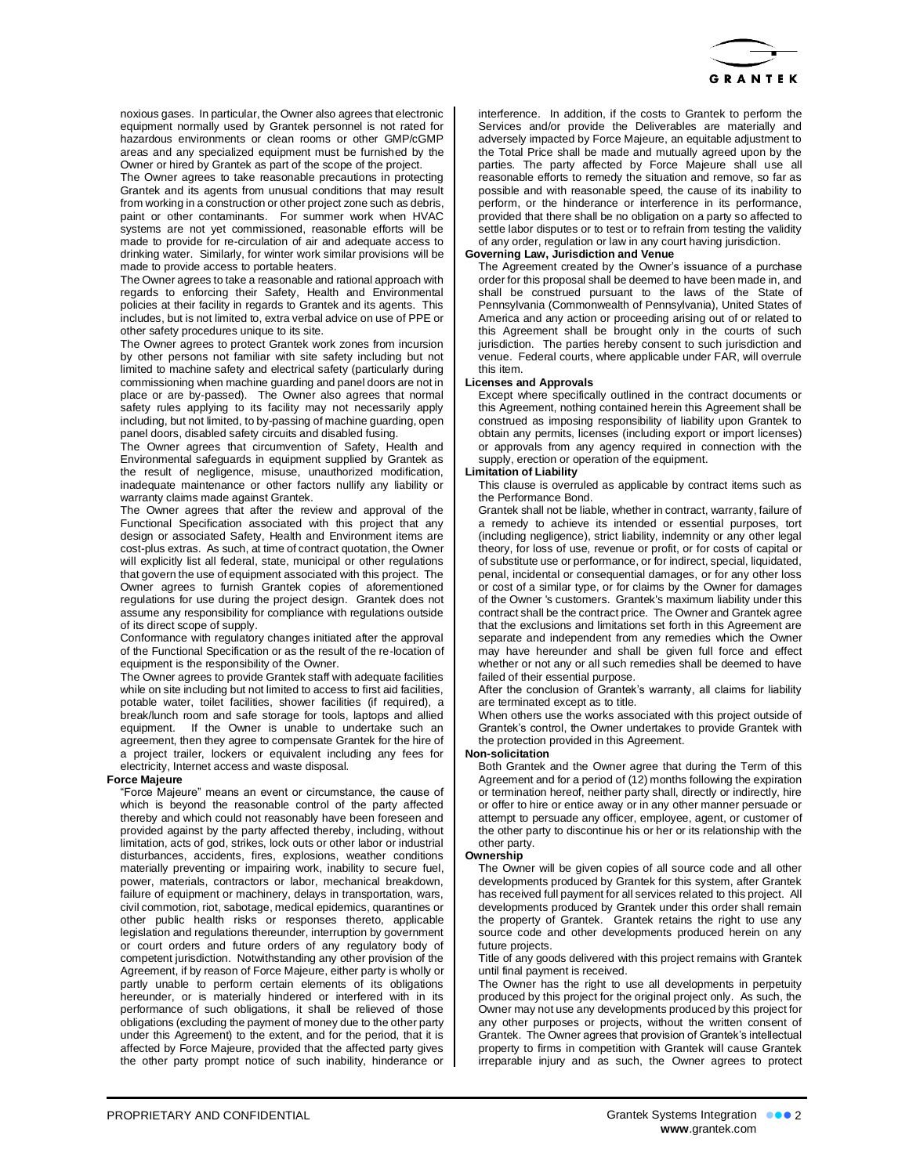

noxious gases. In particular, the Owner also agrees that electronic equipment normally used by Grantek personnel is not rated for hazardous environments or clean rooms or other GMP/cGMP areas and any specialized equipment must be furnished by the Owner or hired by Grantek as part of the scope of the project.

The Owner agrees to take reasonable precautions in protecting Grantek and its agents from unusual conditions that may result from working in a construction or other project zone such as debris, paint or other contaminants. For summer work when HVAC systems are not yet commissioned, reasonable efforts will be made to provide for re-circulation of air and adequate access to drinking water. Similarly, for winter work similar provisions will be made to provide access to portable heaters.

The Owner agrees to take a reasonable and rational approach with regards to enforcing their Safety, Health and Environmental policies at their facility in regards to Grantek and its agents. This includes, but is not limited to, extra verbal advice on use of PPE or other safety procedures unique to its site.

The Owner agrees to protect Grantek work zones from incursion by other persons not familiar with site safety including but not limited to machine safety and electrical safety (particularly during commissioning when machine guarding and panel doors are not in place or are by-passed). The Owner also agrees that normal safety rules applying to its facility may not necessarily apply including, but not limited, to by-passing of machine guarding, open panel doors, disabled safety circuits and disabled fusing.

The Owner agrees that circumvention of Safety, Health and Environmental safeguards in equipment supplied by Grantek as the result of negligence, misuse, unauthorized modification, inadequate maintenance or other factors nullify any liability or warranty claims made against Grantek.

The Owner agrees that after the review and approval of the Functional Specification associated with this project that any design or associated Safety, Health and Environment items are cost-plus extras. As such, at time of contract quotation, the Owner will explicitly list all federal, state, municipal or other regulations that govern the use of equipment associated with this project. The Owner agrees to furnish Grantek copies of aforementioned regulations for use during the project design. Grantek does not assume any responsibility for compliance with regulations outside of its direct scope of supply.

Conformance with regulatory changes initiated after the approval of the Functional Specification or as the result of the re-location of equipment is the responsibility of the Owner.

The Owner agrees to provide Grantek staff with adequate facilities while on site including but not limited to access to first aid facilities, potable water, toilet facilities, shower facilities (if required), a break/lunch room and safe storage for tools, laptops and allied equipment. If the Owner is unable to undertake such an agreement, then they agree to compensate Grantek for the hire of a project trailer, lockers or equivalent including any fees for electricity, Internet access and waste disposal.

#### **Force Majeure**

"Force Majeure" means an event or circumstance, the cause of which is beyond the reasonable control of the party affected thereby and which could not reasonably have been foreseen and provided against by the party affected thereby, including, without limitation, acts of god, strikes, lock outs or other labor or industrial disturbances, accidents, fires, explosions, weather conditions materially preventing or impairing work, inability to secure fuel, power, materials, contractors or labor, mechanical breakdown, failure of equipment or machinery, delays in transportation, wars, civil commotion, riot, sabotage, medical epidemics, quarantines or other public health risks or responses thereto, applicable legislation and regulations thereunder, interruption by government or court orders and future orders of any regulatory body of competent jurisdiction. Notwithstanding any other provision of the Agreement, if by reason of Force Majeure, either party is wholly or partly unable to perform certain elements of its obligations hereunder, or is materially hindered or interfered with in its performance of such obligations, it shall be relieved of those obligations (excluding the payment of money due to the other party under this Agreement) to the extent, and for the period, that it is affected by Force Majeure, provided that the affected party gives the other party prompt notice of such inability, hinderance or

interference. In addition, if the costs to Grantek to perform the Services and/or provide the Deliverables are materially and adversely impacted by Force Majeure, an equitable adjustment to the Total Price shall be made and mutually agreed upon by the parties. The party affected by Force Majeure shall use all reasonable efforts to remedy the situation and remove, so far as possible and with reasonable speed, the cause of its inability to perform, or the hinderance or interference in its performance, provided that there shall be no obligation on a party so affected to settle labor disputes or to test or to refrain from testing the validity of any order, regulation or law in any court having jurisdiction.

#### **Governing Law, Jurisdiction and Venue**

The Agreement created by the Owner's issuance of a purchase order for this proposal shall be deemed to have been made in, and shall be construed pursuant to the laws of the State of Pennsylvania (Commonwealth of Pennsylvania), United States of America and any action or proceeding arising out of or related to this Agreement shall be brought only in the courts of such jurisdiction. The parties hereby consent to such jurisdiction and venue. Federal courts, where applicable under FAR, will overrule this item.

## **Licenses and Approvals**

Except where specifically outlined in the contract documents or this Agreement, nothing contained herein this Agreement shall be construed as imposing responsibility of liability upon Grantek to obtain any permits, licenses (including export or import licenses) or approvals from any agency required in connection with the supply, erection or operation of the equipment.

### **Limitation of Liability**

This clause is overruled as applicable by contract items such as the Performance Bond.

Grantek shall not be liable, whether in contract, warranty, failure of a remedy to achieve its intended or essential purposes, tort (including negligence), strict liability, indemnity or any other legal theory, for loss of use, revenue or profit, or for costs of capital or of substitute use or performance, or for indirect, special, liquidated, penal, incidental or consequential damages, or for any other loss or cost of a similar type, or for claims by the Owner for damages of the Owner 's customers. Grantek's maximum liability under this contract shall be the contract price. The Owner and Grantek agree that the exclusions and limitations set forth in this Agreement are separate and independent from any remedies which the Owner may have hereunder and shall be given full force and effect whether or not any or all such remedies shall be deemed to have failed of their essential purpose.

After the conclusion of Grantek's warranty, all claims for liability are terminated except as to title.

When others use the works associated with this project outside of Grantek's control, the Owner undertakes to provide Grantek with the protection provided in this Agreement.

#### **Non-solicitation**

Both Grantek and the Owner agree that during the Term of this Agreement and for a period of (12) months following the expiration or termination hereof, neither party shall, directly or indirectly, hire or offer to hire or entice away or in any other manner persuade or attempt to persuade any officer, employee, agent, or customer of the other party to discontinue his or her or its relationship with the other party.

#### **Ownership**

The Owner will be given copies of all source code and all other developments produced by Grantek for this system, after Grantek has received full payment for all services related to this project. All developments produced by Grantek under this order shall remain the property of Grantek. Grantek retains the right to use any source code and other developments produced herein on any future projects.

Title of any goods delivered with this project remains with Grantek until final payment is received.

The Owner has the right to use all developments in perpetuity produced by this project for the original project only. As such, the Owner may not use any developments produced by this project for any other purposes or projects, without the written consent of Grantek. The Owner agrees that provision of Grantek's intellectual property to firms in competition with Grantek will cause Grantek irreparable injury and as such, the Owner agrees to protect